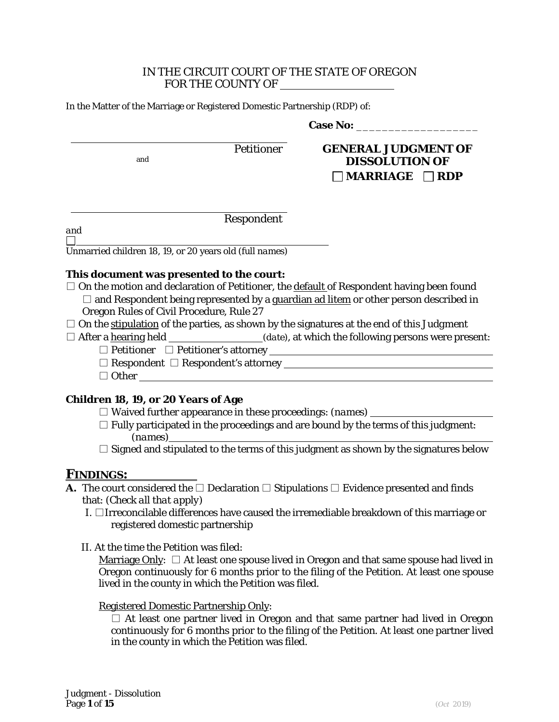### IN THE CIRCUIT COURT OF THE STATE OF OREGON FOR THE COUNTY OF

In the Matter of the Marriage or Registered Domestic Partnership (RDP) of:

Case No:

Petitioner **GENERAL JUDGMENT OF** and **DISSOLUTION OF MARRIAGE RDP**

Respondent

*and*  $\mathbb{R}^n$ 

Unmarried children 18, 19, or 20 years old *(full names)*

#### **This document was presented to the court:**

- $\square$  On the motion and declaration of Petitioner, the default of Respondent having been found  $\square$  and Respondent being represented by a guardian ad litem or other person described in Oregon Rules of Civil Procedure, Rule 27
- □ On the <u>stipulation</u> of the parties, as shown by the signatures at the end of this *Judgment*
- $\Box$  After a hearing held  $(date)$ , at which the following persons were present:
	- □ Petitioner □ Petitioner's attorney
	- □ Respondent □ Respondent's attorney
	- □ Other

## **Children 18, 19, or 20 Years of Age**

- □ Waived further appearance in these proceedings: *(names)*
- $\Box$  Fully participated in the proceedings and are bound by the terms of this judgment: *(names)*
- $\square$  Signed and stipulated to the terms of this judgment as shown by the signatures below

## **FINDINGS:**

- **A.** The court considered the  $\Box$  Declaration  $\Box$  Stipulations  $\Box$  Evidence presented and finds that: *(Check all that apply)*
	- I. □Irreconcilable differences have caused the irremediable breakdown of this marriage or registered domestic partnership
	- II. At the time the *Petition* was filed:

Marriage Only:  $\Box$  At least one spouse lived in Oregon and that same spouse had lived in Oregon continuously for 6 months prior to the filing of the Petition. At least one spouse lived in the county in which the *Petition* was filed.

#### Registered Domestic Partnership Only:

 $\square$  At least one partner lived in Oregon and that same partner had lived in Oregon continuously for 6 months prior to the filing of the Petition. At least one partner lived in the county in which the *Petition* was filed.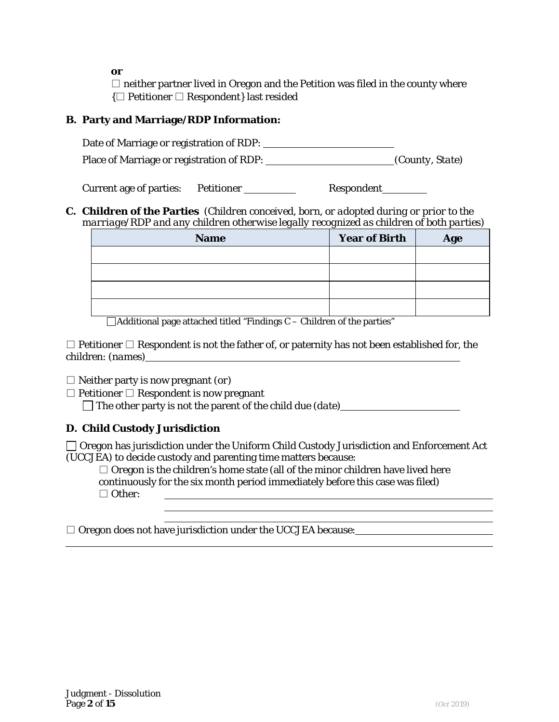*or*

 $\square$  neither partner lived in Oregon and the *Petition* was filed in the county where {□ Petitioner □ Respondent} last resided

## **B. Party and Marriage/RDP Information:**

Date of Marriage or registration of RDP: Place of Marriage or registration of RDP: *(County, State)* 

Current age of parties: Petitioner \_\_\_\_\_\_\_\_\_\_\_ Respondent \_\_\_\_\_\_\_

## **C. Children of the Parties** *(Children conceived, born, or adopted during or prior to the marriage/RDP and any children otherwise legally recognized as children of both parties)*

| <b>Name</b> | <b>Year of Birth</b> | Age |
|-------------|----------------------|-----|
|             |                      |     |
|             |                      |     |
|             |                      |     |
| __          |                      |     |

 $\Box$ Additional page attached titled "Findings C – Children of the parties"

 $\Box$  Petitioner  $\Box$  Respondent is not the father of, or paternity has not been established for, the children: *(names)*

□ Neither party is now pregnant *(or)*

 $\Box$  Petitioner  $\Box$  Respondent is now pregnant

The other party is not the parent of the child due *(date)*

# **D. Child Custody Jurisdiction**

Oregon has jurisdiction under the Uniform Child Custody Jurisdiction and Enforcement Act (UCCJEA) to decide custody and parenting time matters because:

 $\Box$  Oregon is the children's home state (all of the minor children have lived here continuously for the six month period immediately before this case was filed) □ Other: <u> 2000 - Jan James Barnett, fransk politik (d. 1882)</u>

□ Oregon does not have jurisdiction under the UCCJEA because: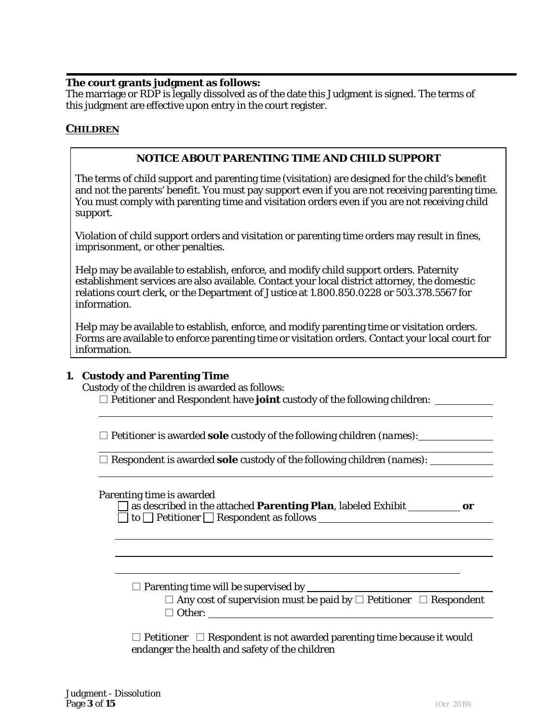### **The court grants judgment as follows:**

The marriage or RDP is legally dissolved as of the date this Judgment is signed. The terms of this judgment are effective upon entry in the court register.

## *CHILDREN*

### **NOTICE ABOUT PARENTING TIME AND CHILD SUPPORT**

The terms of child support and parenting time (visitation) are designed for the child's benefit and not the parents' benefit. You must pay support even if you are not receiving parenting time. You must comply with parenting time and visitation orders even if you are not receiving child support.

Violation of child support orders and visitation or parenting time orders may result in fines, imprisonment, or other penalties.

Help may be available to establish, enforce, and modify child support orders. Paternity establishment services are also available. Contact your local district attorney, the domestic relations court clerk, or the Department of Justice at 1.800.850.0228 or 503.378.5567 for information.

Help may be available to establish, enforce, and modify parenting time or visitation orders. Forms are available to enforce parenting time or visitation orders. Contact your local court for information.

## **1. Custody and Parenting Time**

Custody of the children is awarded as follows:

□ Petitioner and Respondent have **joint** custody of the following children: <u>□ □ □ □ □</u>

□ Petitioner is awarded **sole** custody of the following children *(names)*:

□ Respondent is awarded **sole** custody of the following children *(names)*:

Parenting time is awarded

| $\Box$ as described in the attached <b>Parenting Plan</b> , labeled Exhibit |  |
|-----------------------------------------------------------------------------|--|
| $\Box$ to $\Box$ Petitioner $\Box$ Respondent as follows                    |  |

□ Parenting time will be supervised by

 $\Box$  Any cost of supervision must be paid by  $\Box$  Petitioner  $\Box$  Respondent □ Other:

 $\Box$  Petitioner  $\Box$  Respondent is not awarded parenting time because it would endanger the health and safety of the children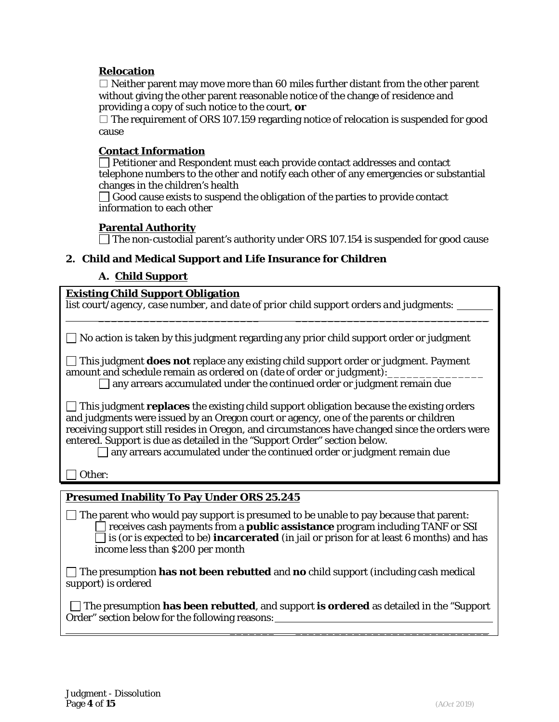## **Relocation**

 $\square$  Neither parent may move more than 60 miles further distant from the other parent without giving the other parent reasonable notice of the change of residence and providing a copy of such notice to the court, *or*

 $\square$  The requirement of ORS 107.159 regarding notice of relocation is suspended for good cause

## **Contact Information**

 $\Box$  Petitioner and Respondent must each provide contact addresses and contact telephone numbers to the other and notify each other of any emergencies or substantial changes in the children's health

 $\Box$  Good cause exists to suspend the obligation of the parties to provide contact information to each other

#### **Parental Authority**

 $\Box$  The non-custodial parent's authority under ORS 107.154 is suspended for good cause  $\sqrt{ }$ 

## **2. Child and Medical Support and Life Insurance for Children**

## **A. Child Support**

## **Existing Child Support Obligation**

| list court/agency, case number, and date of prior child support orders and judgments:                                                                                                                                                                                                                                                                                                                                                                        |
|--------------------------------------------------------------------------------------------------------------------------------------------------------------------------------------------------------------------------------------------------------------------------------------------------------------------------------------------------------------------------------------------------------------------------------------------------------------|
| No action is taken by this judgment regarding any prior child support order or judgment                                                                                                                                                                                                                                                                                                                                                                      |
| This judgment <b>does not</b> replace any existing child support order or judgment. Payment<br>amount and schedule remain as ordered on (date of order or judgment):<br>any arrears accumulated under the continued order or judgment remain due                                                                                                                                                                                                             |
| $\Box$ This judgment <b>replaces</b> the existing child support obligation because the existing orders<br>and judgments were issued by an Oregon court or agency, one of the parents or children<br>receiving support still resides in Oregon, and circumstances have changed since the orders were<br>entered. Support is due as detailed in the "Support Order" section below.<br>any arrears accumulated under the continued order or judgment remain due |
| Other:                                                                                                                                                                                                                                                                                                                                                                                                                                                       |
| <b>Presumed Inability To Pay Under ORS 25.245</b>                                                                                                                                                                                                                                                                                                                                                                                                            |
| The parent who would pay support is presumed to be unable to pay because that parent:<br>receives cash payments from a <b>public assistance</b> program including TANF or SSI<br>is (or is expected to be) incarcerated (in jail or prison for at least 6 months) and has<br>income less than \$200 per month                                                                                                                                                |
| The presumption has not been rebutted and no child support (including cash medical<br>support) is ordered                                                                                                                                                                                                                                                                                                                                                    |
| $\Box$ The presumption <b>has been rebutted</b> , and support <b>is ordered</b> as detailed in the "Support"<br>Order" section below for the following reasons:                                                                                                                                                                                                                                                                                              |

 $\overline{\phantom{a}}$  , where  $\overline{\phantom{a}}$  , where  $\overline{\phantom{a}}$  , where  $\overline{\phantom{a}}$  , where  $\overline{\phantom{a}}$  , where  $\overline{\phantom{a}}$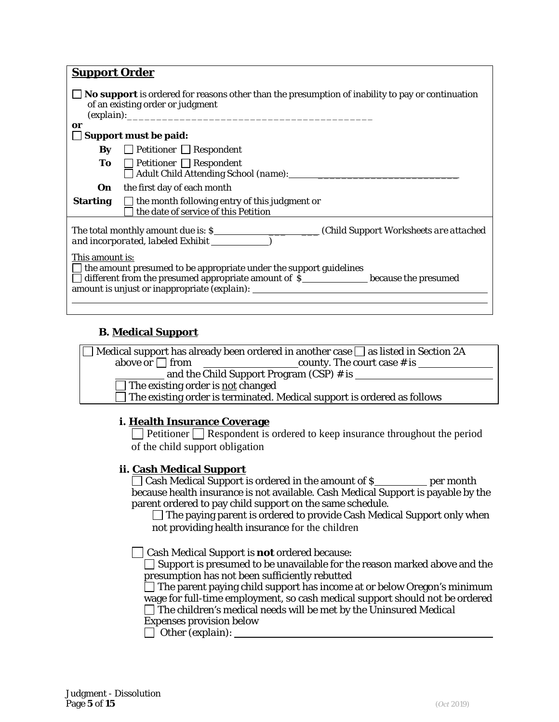| <b>Support Order</b>                                                                                                                                      |                                                                                                                                                                      |  |  |
|-----------------------------------------------------------------------------------------------------------------------------------------------------------|----------------------------------------------------------------------------------------------------------------------------------------------------------------------|--|--|
| <b>No support</b> is ordered for reasons other than the presumption of inability to pay or continuation<br>of an existing order or judgment<br>(explain): |                                                                                                                                                                      |  |  |
| or                                                                                                                                                        | <b>Support must be paid:</b>                                                                                                                                         |  |  |
| By                                                                                                                                                        | $\Box$ Petitioner $\Box$ Respondent                                                                                                                                  |  |  |
|                                                                                                                                                           | <b>To</b> $\Box$ Petitioner $\Box$ Respondent<br>Adult Child Attending School (name): 1997                                                                           |  |  |
| On                                                                                                                                                        | the first day of each month                                                                                                                                          |  |  |
| <b>Starting</b>                                                                                                                                           | $\Box$ the month following entry of this judgment <i>or</i><br>the date of service of this Petition                                                                  |  |  |
|                                                                                                                                                           |                                                                                                                                                                      |  |  |
| This amount is:                                                                                                                                           | the amount presumed to be appropriate under the support guidelines<br>$\Box$ different from the presumed appropriate amount of S_______________ because the presumed |  |  |
|                                                                                                                                                           |                                                                                                                                                                      |  |  |

## **B. Medical Support**

| $\Box$ Medical support has already been ordered in another case $\Box$ as listed in Section 2A |                               |  |
|------------------------------------------------------------------------------------------------|-------------------------------|--|
| above $or \Box$ from                                                                           | county. The court case $#$ is |  |
| and the Child Support Program (CSP) # is                                                       |                               |  |
| $\Box$ The existing order is <u>not</u> changed                                                |                               |  |
| $\Box$ The existing order is terminated. Medical support is ordered as follows                 |                               |  |

## **i. Health Insurance Coverage**

**Petitioner** Respondent is ordered to keep insurance throughout the period of the child support obligation

## **ii. Cash Medical Support**

 $\Box$  Cash Medical Support is ordered in the amount of \$ because health insurance is not available. Cash Medical Support is payable by the parent ordered to pay child support on the same schedule.

 $\Box$  The paying parent is ordered to provide Cash Medical Support only when not providing health insurance for the children

Cash Medical Support is **not** ordered because:

 $\Box$  Support is presumed to be unavailable for the reason marked above and the presumption has not been sufficiently rebutted

 The parent paying child support has income at or below Oregon's minimum wage for full-time employment, so cash medical support should not be ordered The children's medical needs will be met by the *Uninsured Medical* 

*Expenses* provision below

Other *(explain)*: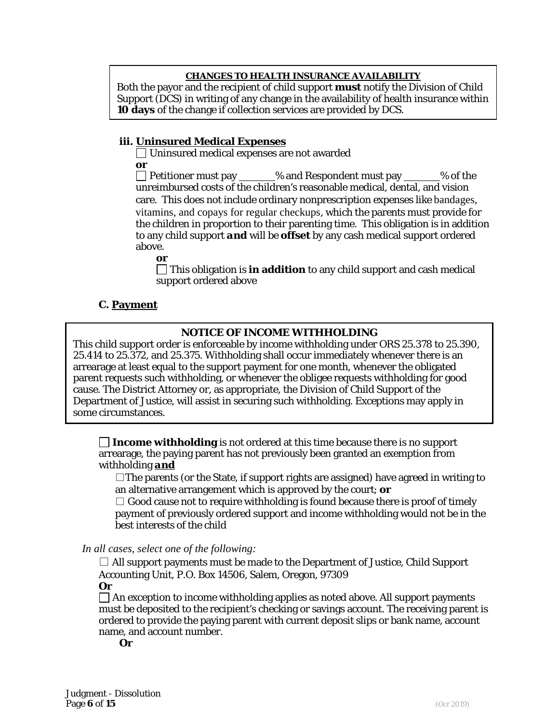### **CHANGES TO HEALTH INSURANCE AVAILABILITY**

Both the payor and the recipient of child support **must** notify the Division of Child Support (DCS) in writing of any change in the availability of health insurance within **10 days** of the change if collection services are provided by DCS.

### **iii. Uninsured Medical Expenses**

Uninsured medical expenses are not awarded *or*

 $\Box$  Petitioner must pay  $\Box$  % and Respondent must pay  $\Box$  % of the unreimbursed costs of the children's reasonable medical, dental, and vision care*.* This does not include ordinary nonprescription expenses like bandages, vitamins, and copays for regular checkups, which the parents must provide for the children in proportion to their parenting time. This obligation is in addition to any child support *and* will be **offset** by any cash medical support ordered above.

*or*

This obligation is **in addition** to any child support and cash medical support ordered above

## **C. Payment**

## **NOTICE OF INCOME WITHHOLDING**

This child support order is enforceable by income withholding under ORS 25.378 to 25.390, 25.414 to 25.372, and 25.375. Withholding shall occur immediately whenever there is an arrearage at least equal to the support payment for one month, whenever the obligated parent requests such withholding, or whenever the obligee requests withholding for good cause. The District Attorney or, as appropriate, the Division of Child Support of the Department of Justice, will assist in securing such withholding. Exceptions may apply in some circumstances.

**Income withholding** is not ordered at this time because there is no support arrearage, the paying parent has not previously been granted an exemption from withholding *and*

 $\Box$  The parents (or the State, if support rights are assigned) have agreed in writing to an alternative arrangement which is approved by the court; *or*

 $\square$  Good cause not to require withholding is found because there is proof of timely payment of previously ordered support and income withholding would not be in the best interests of the child

*In all cases, select one of the following:*

 $\square$  All support payments must be made to the Department of Justice, Child Support Accounting Unit, P.O. Box 14506, Salem, Oregon, 97309

*Or*

 $\Box$  An exception to income withholding applies as noted above. All support payments must be deposited to the recipient's checking or savings account. The receiving parent is ordered to provide the paying parent with current deposit slips or bank name, account name, and account number.

*Or*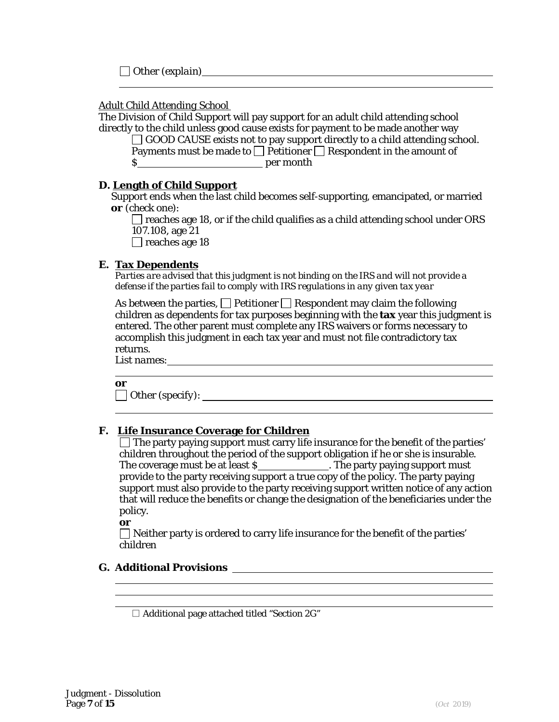Other *(explain)*

### *Adult Child Attending School*

The Division of Child Support will pay support for an adult child attending school directly to the child unless good cause exists for payment to be made another way

 $\Box$  GOOD CAUSE exists not to pay support directly to a child attending school. Payments must be made to  $\Box$  Petitioner  $\Box$  Respondent in the amount of

\$ per month

## **D. Length of Child Support**

Support ends when the last child becomes self-supporting, emancipated, or married *or (check one)*:

 $\Box$  reaches age 18, or if the child qualifies as a child attending school under ORS 107.108, age 21

 $\Box$  reaches age 18

## **E. Tax Dependents**

*Parties are advised that this judgment is not binding on the IRS and will not provide a defense if the parties fail to comply with IRS regulations in any given tax year*

As between the parties,  $\Box$  Petitioner  $\Box$  Respondent may claim the following children as dependents for tax purposes beginning with the **tax** year this judgment is entered. The other parent must complete any IRS waivers or forms necessary to accomplish this judgment in each tax year and must not file contradictory tax returns.

*List names*:

*or*

Other *(specify)*:

## **F. Life Insurance Coverage for Children**

 $\Box$  The party paying support must carry life insurance for the benefit of the parties' children throughout the period of the support obligation if he or she is insurable. The coverage must be at least **\$\_\_\_\_\_\_\_\_\_\_\_\_\_\_\_\_\_\_. The party paying support must** provide to the party receiving support a true copy of the policy. The party paying support must also provide to the party receiving support written notice of any action that will reduce the benefits or change the designation of the beneficiaries under the policy.

<u> 1980 - Johann Stoff, deutscher Stoffen und der Stoffen und der Stoffen und der Stoffen und der Stoffen und d</u>

*or*

 $\Box$  Neither party is ordered to carry life insurance for the benefit of the parties' children

# **G. Additional Provisions**

 $\Box$  Additional page attached titled "Section 2G"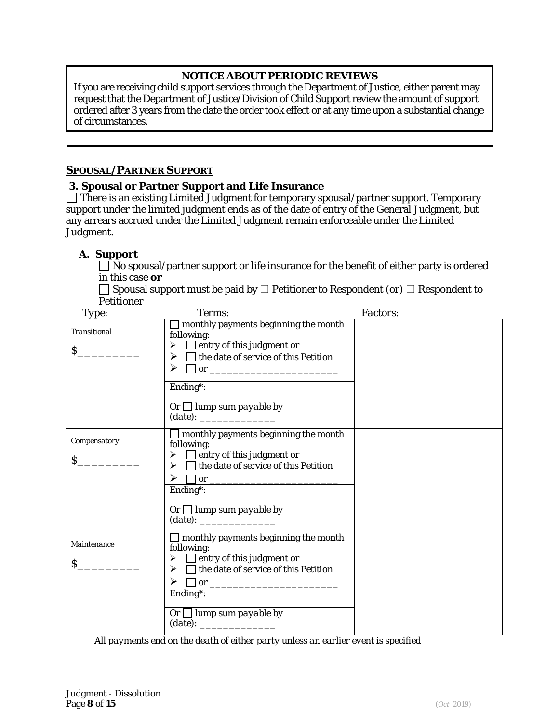# **NOTICE ABOUT PERIODIC REVIEWS**

If you are receiving child support services through the Department of Justice, either parent may request that the Department of Justice/Division of Child Support review the amount of support ordered after 3 years from the date the order took effect or at any time upon a substantial change of circumstances.

## *SPOUSAL/PARTNER SUPPORT*

### **3. Spousal or Partner Support and Life Insurance**

 $\Box$  There is an existing Limited Judgment for temporary spousal/partner support. Temporary support under the limited judgment ends as of the date of entry of the General Judgment, but any arrears accrued under the Limited Judgment remain enforceable under the Limited Judgment.

## **A. Support**

No spousal/partner support or life insurance for the benefit of either party is ordered in this case *or*

Spousal support must be paid by □ Petitioner to Respondent *(or)* □ Respondent to Petitioner

| Type:                              | Terms:                                                                                                                                                                                            | Factors: |
|------------------------------------|---------------------------------------------------------------------------------------------------------------------------------------------------------------------------------------------------|----------|
| <b>Transitional</b><br>$\mathbf S$ | monthly payments beginning the month<br>following:<br>$\triangleright$ $\Box$ entry of this judgment or<br>$\triangleright \square$ the date of service of this <i>Petition</i><br>➤              |          |
|                                    | Ending*:<br>$\overline{Or \Box$ lump sum payable by                                                                                                                                               |          |
| Compensatory<br>$\mathbf{S}$       | $\Box$ monthly payments beginning the month<br>following:<br>$\triangleright$ $\Box$ entry of this judgment or<br>$\triangleright$ $\Box$ the date of service of this <i>Petition</i><br>Ending*: |          |
|                                    | $\overline{Or \square$ lump sum payable by                                                                                                                                                        |          |
| Maintenance                        | $\Box$ monthly payments beginning the month<br>following:                                                                                                                                         |          |
| $\mathbf{S}$                       | $\triangleright$ $\Box$ entry of this judgment or<br>$\triangleright$ $\Box$ the date of service of this <i>Petition</i><br>$\triangleright \Box \text{ or }$<br>Ending*:                         |          |
|                                    | $\overline{Or}$ lump sum payable by                                                                                                                                                               |          |

*All payments end on the death of either party unless an earlier event is specified*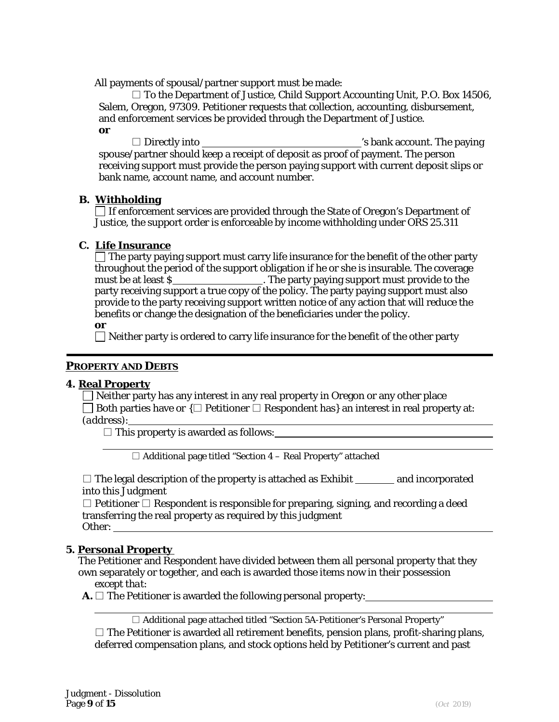All payments of spousal/partner support must be made:

 $\square$  To the Department of Justice, Child Support Accounting Unit, P.O. Box 14506, Salem, Oregon, 97309. Petitioner requests that collection, accounting, disbursement, and enforcement services be provided through the Department of Justice. *or*

 $\square$  Directly into  $\square$  become the paying  $\square$  bank account. The paying spouse/partner should keep a receipt of deposit as proof of payment. The person receiving support must provide the person paying support with current deposit slips or bank name, account name, and account number.

## **B. Withholding**

 $\Box$  If enforcement services are provided through the State of Oregon's Department of Justice, the support order is enforceable by income withholding under ORS 25.311

## **C. Life Insurance**

 $\Box$  The party paying support must carry life insurance for the benefit of the other party throughout the period of the support obligation if he or she is insurable. The coverage must be at least S . The party paying support must provide to the party receiving support a true copy of the policy. The party paying support must also provide to the party receiving support written notice of any action that will reduce the benefits or change the designation of the beneficiaries under the policy.

*or* 

 $\Box$  Neither party is ordered to carry life insurance for the benefit of the other party

## *PROPERTY AND DEBTS*

#### **4. Real Property**

 $\Box$  Neither party has any interest in any real property in Oregon or any other place Both parties have *or* {□ Petitioner □ Respondent has} an interest in real property at: *(address)*:

 $\square$  This property is awarded as follows:

 $\Box$  Additional page titled "Section 4 – Real Property" attached

 $\square$  The legal description of the property is attached as Exhibit and incorporated into this Judgment

 $\Box$  Petitioner  $\Box$  Respondent is responsible for preparing, signing, and recording a deed transferring the real property as required by this judgment Other:

## **5. Personal Property**

The Petitioner and Respondent have divided between them all personal property that they own separately or together, and each is awarded those items now in their possession *except that:*

**A.** □ The Petitioner is awarded the following personal property:

 $\Box$  Additional page attached titled "Section 5A-Petitioner's Personal Property"  $\square$  The Petitioner is awarded all retirement benefits, pension plans, profit-sharing plans, deferred compensation plans, and stock options held by Petitioner's current and past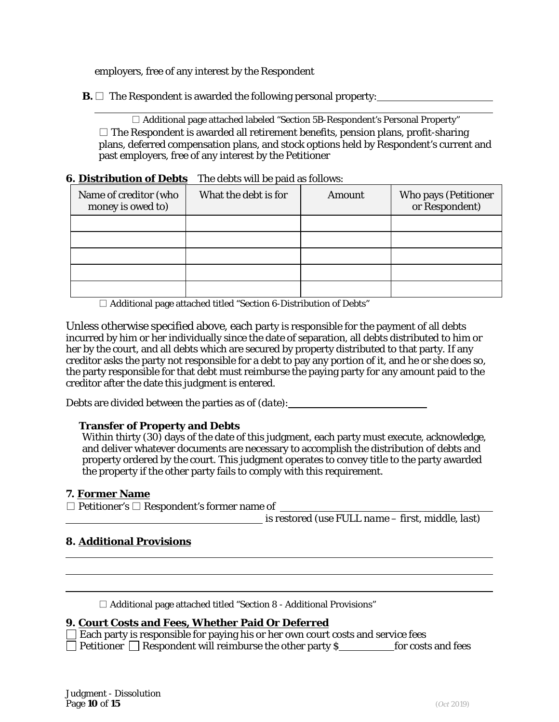employers, free of any interest by the Respondent

**B.**  $\Box$  The Respondent is awarded the following personal property:

□ Additional page attached labeled "Section 5B-Respondent's Personal Property"  $\square$  The Respondent is awarded all retirement benefits, pension plans, profit-sharing plans, deferred compensation plans, and stock options held by Respondent's current and past employers, free of any interest by the Petitioner

### **6. Distribution of Debts** The debts will be paid as follows:

| Name of creditor (who<br>money is owed to) | What the debt is for | Amount | Who pays (Petitioner<br>or Respondent) |
|--------------------------------------------|----------------------|--------|----------------------------------------|
|                                            |                      |        |                                        |
|                                            |                      |        |                                        |
|                                            |                      |        |                                        |
|                                            |                      |        |                                        |
|                                            |                      |        |                                        |

 $\Box$  Additional page attached titled "Section 6-Distribution of Debts"

Unless otherwise specified above, each party is responsible for the payment of all debts incurred by him or her individually since the date of separation, all debts distributed to him or her by the court, and all debts which are secured by property distributed to that party. If any creditor asks the party not responsible for a debt to pay any portion of it, and he or she does so, the party responsible for that debt must reimburse the paying party for any amount paid to the creditor after the date this judgment is entered.

Debts are divided between the parties as of *(date)*:

## **Transfer of Property and Debts**

Within thirty (30) days of the date of this judgment, each party must execute, acknowledge, and deliver whatever documents are necessary to accomplish the distribution of debts and property ordered by the court. This judgment operates to convey title to the party awarded the property if the other party fails to comply with this requirement.

#### **7. Former Name**

□ Petitioner's □ Respondent's former name of

is restored *(use FULL name – first, middle, last)*

### **8. Additional Provisions**

 $\Box$  Additional page attached titled "Section 8 - Additional Provisions"

#### **9. Court Costs and Fees, Whether Paid Or Deferred**

| $\Box$ Each party is responsible for paying his or her own court costs and service fees |                    |
|-----------------------------------------------------------------------------------------|--------------------|
| $\Box$ Petitioner $\Box$ Respondent will reimburse the other party S                    | for costs and fees |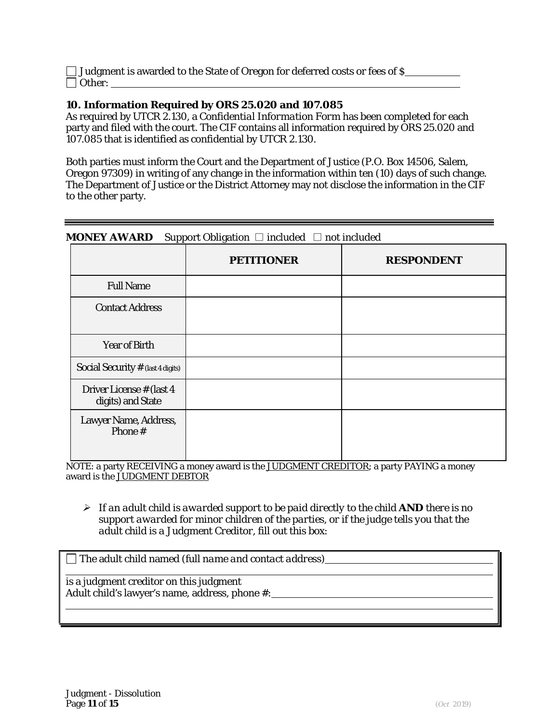| $\Box$ Judgment is awarded to the State of Oregon for deferred costs or fees of \$ |  |
|------------------------------------------------------------------------------------|--|
| $\Box$ Other:                                                                      |  |

## **10. Information Required by ORS 25.020 and 107.085**

As required by UTCR 2.130, a *Confidential Information Form* has been completed for each party and filed with the court. The CIF contains all information required by ORS 25.020 and 107.085 that is identified as confidential by UTCR 2.130.

Both parties must inform the Court and the Department of Justice (P.O. Box 14506, Salem, Oregon 97309) in writing of any change in the information within ten (10) days of such change. The Department of Justice or the District Attorney may not disclose the information in the CIF to the other party.

## **MONEY AWARD** Support Obligation □ included □ not included

|                                                | <b>PETITIONER</b> | <b>RESPONDENT</b> |
|------------------------------------------------|-------------------|-------------------|
| <b>Full Name</b>                               |                   |                   |
| <b>Contact Address</b>                         |                   |                   |
| Year of Birth                                  |                   |                   |
| Social Security $#$ (last 4 digits)            |                   |                   |
| Driver License # (last 4)<br>digits) and State |                   |                   |
| Lawyer Name, Address,<br>Phone #               |                   |                   |

NOTE: a party RECEIVING a money award is the JUDGMENT CREDITOR; a party PAYING a money award is the JUDGMENT DEBTOR

 *If an adult child is awarded support to be paid directly to the child AND there is no support awarded for minor children of the parties, or if the judge tells you that the adult child is a Judgment Creditor, fill out this box:*

|  | $\Box$ The adult child named (full name and contact address) |
|--|--------------------------------------------------------------|
|--|--------------------------------------------------------------|

is a judgment creditor on this judgment Adult child's lawyer's name, address, phone #: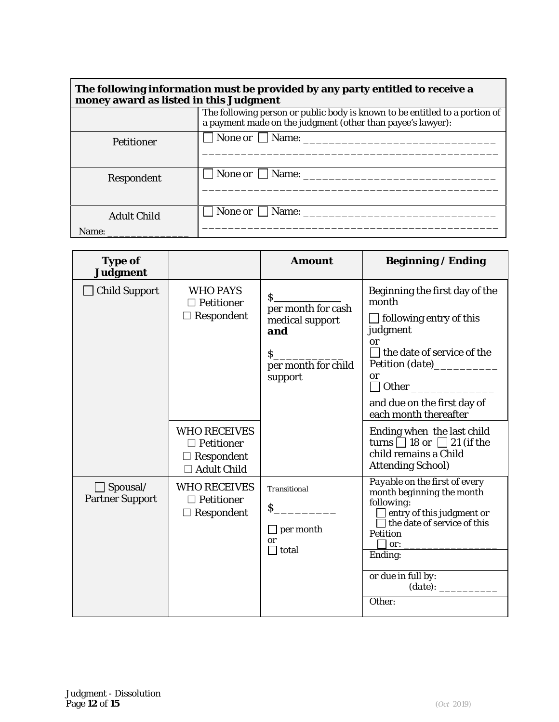| The following information must be provided by any party entitled to receive a<br>money award as listed in this Judgment |                                                                                                                                            |  |  |
|-------------------------------------------------------------------------------------------------------------------------|--------------------------------------------------------------------------------------------------------------------------------------------|--|--|
|                                                                                                                         | The following person or public body is known to be entitled to a portion of<br>a payment made on the judgment (other than payee's lawyer): |  |  |
| <b>Petitioner</b>                                                                                                       | None or Name:                                                                                                                              |  |  |
| Respondent                                                                                                              | $\Box$ None <i>or</i> $\Box$ Name:                                                                                                         |  |  |
| <b>Adult Child</b><br>Name: $\overline{\phantom{a}}$                                                                    | None <i>or</i> $\Box$ Name:                                                                                                                |  |  |

| <b>Type of</b><br><b>Judgment</b>         |                                                                                     | <b>Amount</b>                                                                                             | <b>Beginning / Ending</b>                                                                                                                                                                                                          |
|-------------------------------------------|-------------------------------------------------------------------------------------|-----------------------------------------------------------------------------------------------------------|------------------------------------------------------------------------------------------------------------------------------------------------------------------------------------------------------------------------------------|
| <b>Child Support</b>                      | <b>WHO PAYS</b><br>Petitioner<br>$\Box$ Respondent                                  | $S_{-}$<br>per month for cash<br>medical support<br>and<br>$\mathsf{S}$<br>per month for child<br>support | Beginning the first day of the<br>month<br>$\Box$ following entry of this<br>judgment<br>or<br>$\Box$ the date of service of the<br>Petition (date)<br><b>or</b><br>and due on the first day of<br>each month thereafter           |
|                                           | <b>WHO RECEIVES</b><br>$\Box$ Petitioner<br>$\Box$ Respondent<br><b>Adult Child</b> |                                                                                                           | Ending when the last child<br>turns $\Box$ 18 or $\Box$ 21 (if the<br>child remains a Child<br><b>Attending School)</b>                                                                                                            |
| $\Box$ Spousal/<br><b>Partner Support</b> | <b>WHO RECEIVES</b><br>$\Box$ Petitioner<br>Respondent                              | <b>Transitional</b><br>$\mathsf{S}$<br>$\Box$ per month<br>or<br>$\Box$ total                             | Payable on the first of every<br>month beginning the month<br>following:<br>$\Box$ entry of this judgment or<br>$\Box$ the date of service of this<br><b>Petition</b><br>or:<br>Ending:<br>or due in full by:<br>(date):<br>Other: |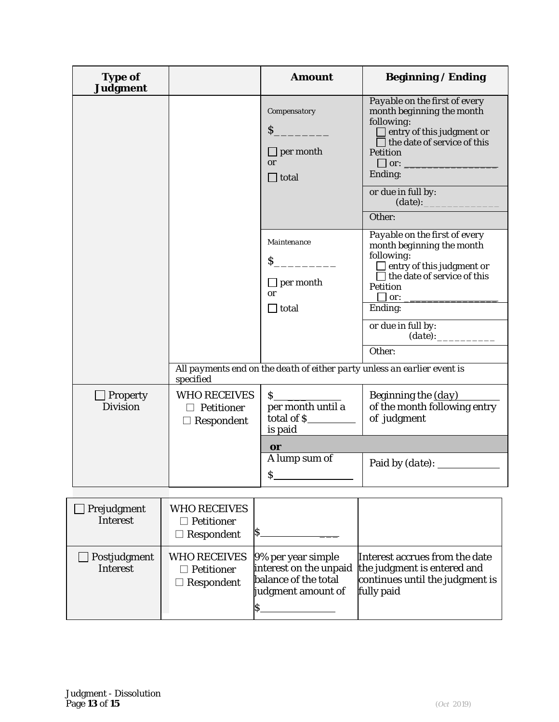| <b>Type of</b><br><b>Judgment</b>  |                                                                            | <b>Amount</b>                                                                                                                                            | <b>Beginning / Ending</b>                                                                                                                                                                                                                                                                                                                                                                                                                   |
|------------------------------------|----------------------------------------------------------------------------|----------------------------------------------------------------------------------------------------------------------------------------------------------|---------------------------------------------------------------------------------------------------------------------------------------------------------------------------------------------------------------------------------------------------------------------------------------------------------------------------------------------------------------------------------------------------------------------------------------------|
|                                    |                                                                            | Compensatory<br>$S_{-}$<br>$\Box$ per month<br><b>or</b><br>$\Box$ total<br>Maintenance<br>$\mathsf{S}$<br>$\Box$ per month<br><b>or</b><br>$\Box$ total | Payable on the first of every<br>month beginning the month<br>following:<br>$\Box$ entry of this judgment or<br>$\Box$ the date of service of this<br><b>Petition</b><br>$\Box$ or:<br>Ending:<br>or due in full by:<br>(date):<br>Other:<br>Payable on the first of every<br>month beginning the month<br>following:<br>$\Box$ entry of this judgment or<br>$\Box$ the date of service of this<br><b>Petition</b><br>$\Box$ or:<br>Ending: |
|                                    |                                                                            |                                                                                                                                                          | or due in full by:<br>$(date)$ :<br>Other:<br>All payments end on the death of either party unless an earlier event is                                                                                                                                                                                                                                                                                                                      |
| $\Box$ Property<br><b>Division</b> | specified<br><b>WHO RECEIVES</b><br>$\Box$ Petitioner<br>$\Box$ Respondent | s<br>per month until a<br>total of \$<br>is paid                                                                                                         | Beginning the (day)<br>of the month following entry<br>of judgment                                                                                                                                                                                                                                                                                                                                                                          |
|                                    |                                                                            | <b>or</b><br>A lump sum of<br>\$                                                                                                                         |                                                                                                                                                                                                                                                                                                                                                                                                                                             |
| Prejudgment<br><b>Interest</b>     | <b>WHO RECEIVES</b><br>$\Box$ Petitioner<br>\$<br>$\Box$ Respondent        |                                                                                                                                                          |                                                                                                                                                                                                                                                                                                                                                                                                                                             |
| Postjudgment<br><b>Interest</b>    | <b>WHO RECEIVES</b><br>$\Box$ Petitioner<br>$\Box$ Respondent<br>\$        | 9% per year simple<br>interest on the unpaid<br>balance of the total<br>judgment amount of                                                               | Interest accrues from the date<br>the judgment is entered and<br>continues until the judgment is<br>fully paid                                                                                                                                                                                                                                                                                                                              |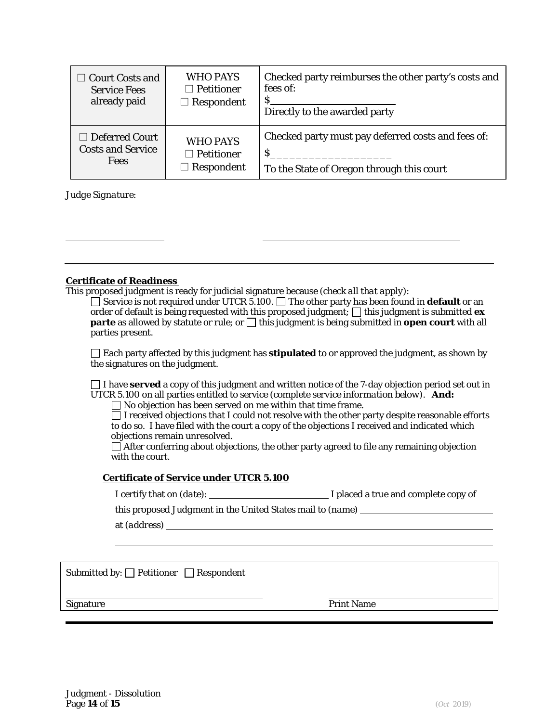| $\Box$ Court Costs and   | <b>WHO PAYS</b>   | Checked party reimburses the other party's costs and |
|--------------------------|-------------------|------------------------------------------------------|
| <b>Service Fees</b>      | $\Box$ Petitioner | fees of:                                             |
| already paid             | $\Box$ Respondent | Directly to the awarded party                        |
| $\Box$ Deferred Court    | <b>WHO PAYS</b>   | Checked party must pay deferred costs and fees of:   |
| <b>Costs and Service</b> | $\Box$ Petitioner | S.                                                   |
| <b>Fees</b>              | $\Box$ Respondent | To the State of Oregon through this court            |

*Judge Signature:*

#### **Certificate of Readiness**

This proposed judgment is ready for judicial signature because *(check all that apply)*:

□ Service is not required under UTCR 5.100. □ The other party has been found in **default** or an order of default is being requested with this proposed judgment;  $\Box$  this judgment is submitted  $\mathbf{ex}$ **parte** as allowed by statute or rule; or  $\Box$  this judgment is being submitted in **open court** with all parties present.

 $\Box$  Each party affected by this judgment has **stipulated** to or approved the judgment, as shown by the signatures on the judgment.

I have **served** a copy of this judgment and written notice of the 7-day objection period set out in UTCR 5.100 on all parties entitled to service *(complete service information below)*. *And:* 

No objection has been served on me within that time frame.

 $\Box$  I received objections that I could not resolve with the other party despite reasonable efforts to do so. I have filed with the court a copy of the objections I received and indicated which objections remain unresolved.

 $\Box$  After conferring about objections, the other party agreed to file any remaining objection with the court.

#### **Certificate of Service under UTCR 5.100**

| I placed a true and complete copy of |
|--------------------------------------|
|                                      |

this proposed *Judgment* in the United States mail to *(name)*

at *(address)*

Submitted by:  $\Box$  Petitioner  $\Box$  Respondent

Signature **Print Name**